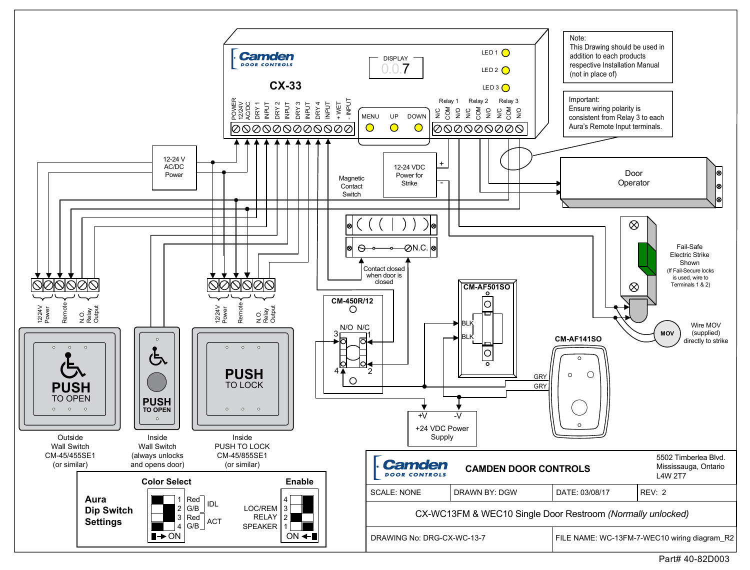